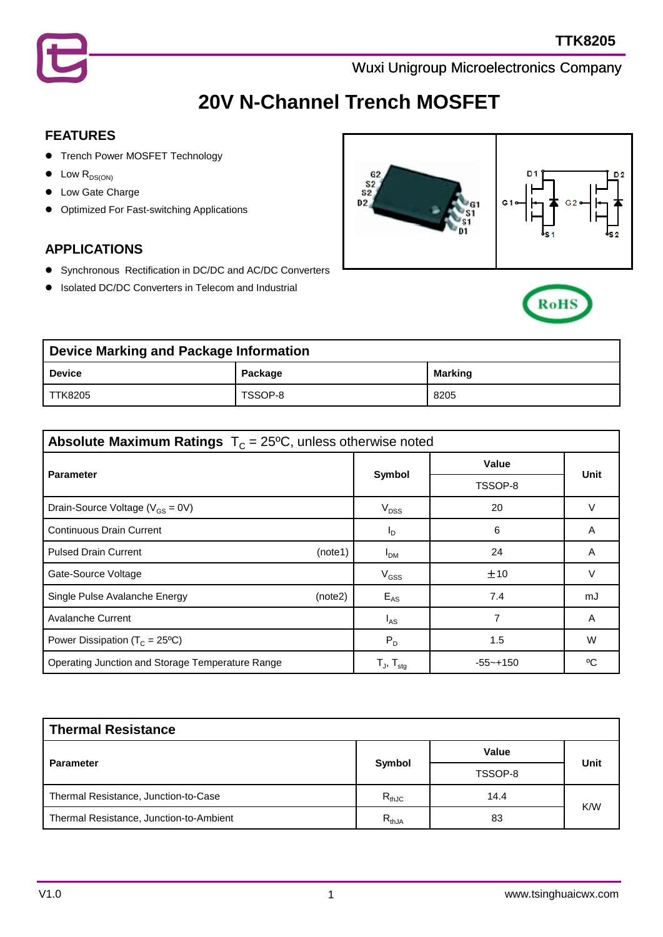

# **20V N-Channel Trench MOSFET**

#### **FEATURES**

- **Trench Power MOSFET Technology**
- $\bullet$  Low  $R_{DS(ON)}$
- **•** Low Gate Charge
- **•** Optimized For Fast-switching Applications

#### **APPLICATIONS**

- Synchronous Rectification in DC/DC and AC/DC Converters
- Isolated DC/DC Converters in Telecom and Industrial





| Device Marking and Package Information |         |         |  |  |
|----------------------------------------|---------|---------|--|--|
| Device                                 | Package | Marking |  |  |
| TTK8205                                | TSSOP-8 | 8205    |  |  |

| <b>Absolute Maximum Ratings</b> $T_c = 25^{\circ}C$ , unless otherwise noted |                            |              |      |  |  |
|------------------------------------------------------------------------------|----------------------------|--------------|------|--|--|
| <b>Parameter</b>                                                             |                            | Value        |      |  |  |
|                                                                              | Symbol                     | TSSOP-8      | Unit |  |  |
| Drain-Source Voltage ( $V_{GS}$ = 0V)                                        | $V_{DSS}$                  | 20           |      |  |  |
| <b>Continuous Drain Current</b>                                              | I <sub>D</sub>             | 6            | A    |  |  |
| <b>Pulsed Drain Current</b><br>(note1)                                       | I <sub>DM</sub>            | 24           | A    |  |  |
| Gate-Source Voltage                                                          | $V_{GSS}$                  | ±10          | V    |  |  |
| Single Pulse Avalanche Energy<br>(note2)                                     | $E_{AS}$                   | 7.4          | mJ   |  |  |
| <b>Avalanche Current</b>                                                     | $I_{AS}$                   |              | A    |  |  |
| Power Dissipation ( $T_c$ = 25°C)                                            | $P_D$                      | 1.5          | W    |  |  |
| Operating Junction and Storage Temperature Range                             | $T_{J}$ , $T_{\text{stq}}$ | $-55 - +150$ | ٥C   |  |  |

| <b>Thermal Resistance</b>               |            |         |             |  |  |
|-----------------------------------------|------------|---------|-------------|--|--|
|                                         |            | Value   |             |  |  |
| <b>Parameter</b>                        | Symbol     | TSSOP-8 | <b>Unit</b> |  |  |
| Thermal Resistance, Junction-to-Case    | $R_{thJC}$ | 14.4    | K/W         |  |  |
| Thermal Resistance, Junction-to-Ambient | $R_{thJA}$ | 83      |             |  |  |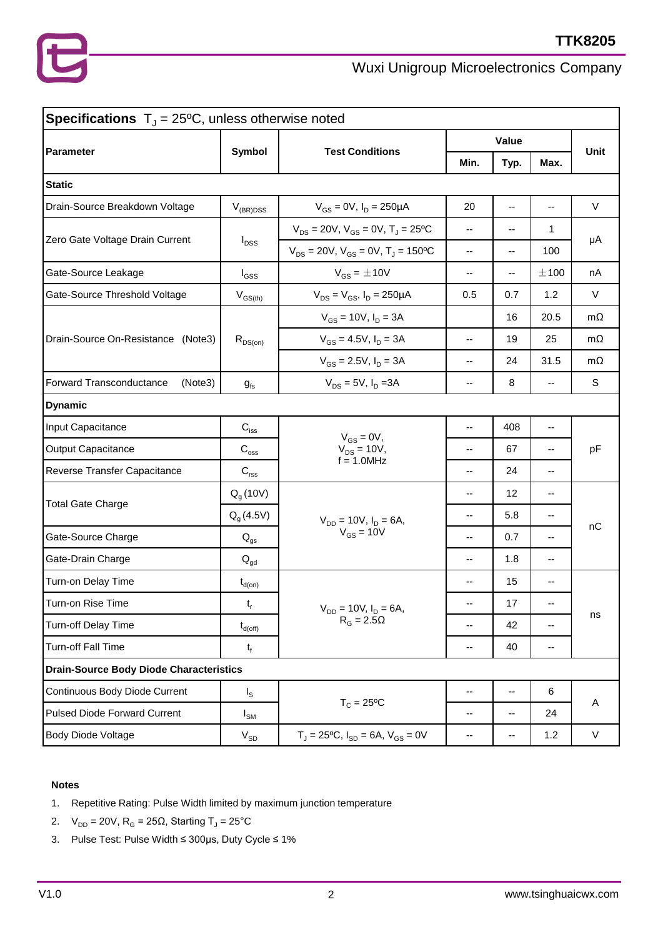| <b>Specifications</b> $T_{J} = 25^{\circ}\text{C}$ , unless otherwise noted |                                         |                                                                    |                                               |                          |                          |           |  |
|-----------------------------------------------------------------------------|-----------------------------------------|--------------------------------------------------------------------|-----------------------------------------------|--------------------------|--------------------------|-----------|--|
|                                                                             |                                         |                                                                    | Value                                         |                          |                          |           |  |
| <b>Parameter</b>                                                            | <b>Symbol</b><br><b>Test Conditions</b> |                                                                    | Min.                                          | Typ.                     | Max.                     | Unit      |  |
| <b>Static</b>                                                               |                                         |                                                                    |                                               |                          |                          |           |  |
| Drain-Source Breakdown Voltage                                              | $V_{(BR)DSS}$                           | $V_{GS} = 0V$ , $I_D = 250 \mu A$                                  | 20                                            | $\overline{\phantom{a}}$ | $-$                      | $\vee$    |  |
|                                                                             | $I_{DSS}$                               | $V_{DS}$ = 20V, $V_{GS}$ = 0V, T <sub>J</sub> = 25 <sup>o</sup> C  | $\overline{\phantom{a}}$                      | --                       | 1                        | μA        |  |
| Zero Gate Voltage Drain Current                                             |                                         | $V_{DS}$ = 20V, $V_{GS}$ = 0V, T <sub>J</sub> = 150 <sup>o</sup> C | $\overline{\phantom{a}}$                      | --                       | 100                      |           |  |
| Gate-Source Leakage                                                         | $I_{GSS}$                               | $V_{GS} = \pm 10V$                                                 | $\overline{\phantom{a}}$                      | --                       | ±100                     | nA        |  |
| Gate-Source Threshold Voltage                                               | $V_{GS(th)}$                            | $V_{DS} = V_{GS}$ , $I_D = 250 \mu A$                              | 0.5                                           | 0.7                      | 1.2                      | $\vee$    |  |
|                                                                             |                                         | $V_{GS}$ = 10V, $I_D$ = 3A                                         |                                               | 16                       | 20.5                     | $m\Omega$ |  |
| Drain-Source On-Resistance<br>(Note3)                                       | $R_{DS(on)}$                            | $V_{GS} = 4.5V$ , $I_D = 3A$                                       | $\overline{\phantom{a}}$                      | 19                       | 25                       | $m\Omega$ |  |
|                                                                             |                                         | $V_{GS} = 2.5V$ , $I_D = 3A$                                       | $\overline{\phantom{a}}$                      | 24                       | 31.5                     | $m\Omega$ |  |
| Forward Transconductance<br>(Note3)                                         | $g_{fs}$                                | $V_{DS} = 5V$ , $I_D = 3A$                                         | $\overline{\phantom{a}}$                      | 8                        | $\overline{\phantom{a}}$ | S         |  |
| <b>Dynamic</b>                                                              |                                         |                                                                    |                                               |                          |                          |           |  |
| Input Capacitance                                                           | $C_{\text{iss}}$                        |                                                                    | --                                            | 408                      | --                       | pF        |  |
| <b>Output Capacitance</b>                                                   | $\mathbf{C}_{\mathrm{oss}}$             | $V_{GS} = 0V$ ,<br>$V_{DS} = 10V,$                                 | --                                            | 67                       | --                       |           |  |
| Reverse Transfer Capacitance                                                | $\mathbf{C}_{\text{rss}}$               | $f = 1.0$ MHz                                                      | --                                            | 24                       | --                       |           |  |
|                                                                             | $Q_q(10V)$                              |                                                                    | --                                            | 12                       | --                       | nC        |  |
| <b>Total Gate Charge</b>                                                    | $Q_q(4.5V)$                             | $V_{DD} = 10V$ , $I_D = 6A$ ,                                      | --                                            | 5.8                      | --                       |           |  |
| Gate-Source Charge                                                          | $Q_{\text{qs}}$                         | $V_{GS} = 10V$                                                     | $-$                                           | 0.7                      | $\overline{\phantom{a}}$ |           |  |
| Gate-Drain Charge                                                           | $\mathsf{Q}_{\mathsf{gd}}$              |                                                                    | $-$                                           | 1.8                      | --                       |           |  |
| Turn-on Delay Time                                                          | $t_{d(on)}$                             |                                                                    | --                                            | 15                       | --                       |           |  |
| Turn-on Rise Time                                                           | $t_{r}$                                 | $V_{DD} = 10V, I_D = 6A,$                                          |                                               | 17                       |                          | ns        |  |
| Turn-off Delay Time                                                         | $t_{d(\mathsf{off})}$                   | $R_G = 2.5\Omega$                                                  | --                                            | 42                       | --                       |           |  |
| Turn-off Fall Time                                                          | $t_f$                                   |                                                                    | --                                            | 40                       | --                       |           |  |
| <b>Drain-Source Body Diode Characteristics</b>                              |                                         |                                                                    |                                               |                          |                          |           |  |
| Continuous Body Diode Current                                               | $I_{\rm S}$                             |                                                                    | $\mathord{\hspace{1pt}\text{--}\hspace{1pt}}$ | $\overline{\phantom{a}}$ | $\,6$                    |           |  |
| <b>Pulsed Diode Forward Current</b>                                         | $I_{\text{SM}}$                         | $T_c = 25$ °C                                                      | --                                            | --                       | 24                       | A         |  |
| Body Diode Voltage                                                          | $V_{SD}$                                | $T_J = 25$ °C, $I_{SD} = 6A$ , $V_{GS} = 0V$                       | $\overline{\phantom{a}}$                      | $\overline{\phantom{a}}$ | 1.2                      | V         |  |

#### **Notes**

- 1. Repetitive Rating: Pulse Width limited by maximum junction temperature
- 2.  $V_{DD} = 20V$ ,  $R_G = 25\Omega$ , Starting T<sub>J</sub> = 25°C
- 3. Pulse Test: Pulse Width ≤ 300μs, Duty Cycle ≤ 1%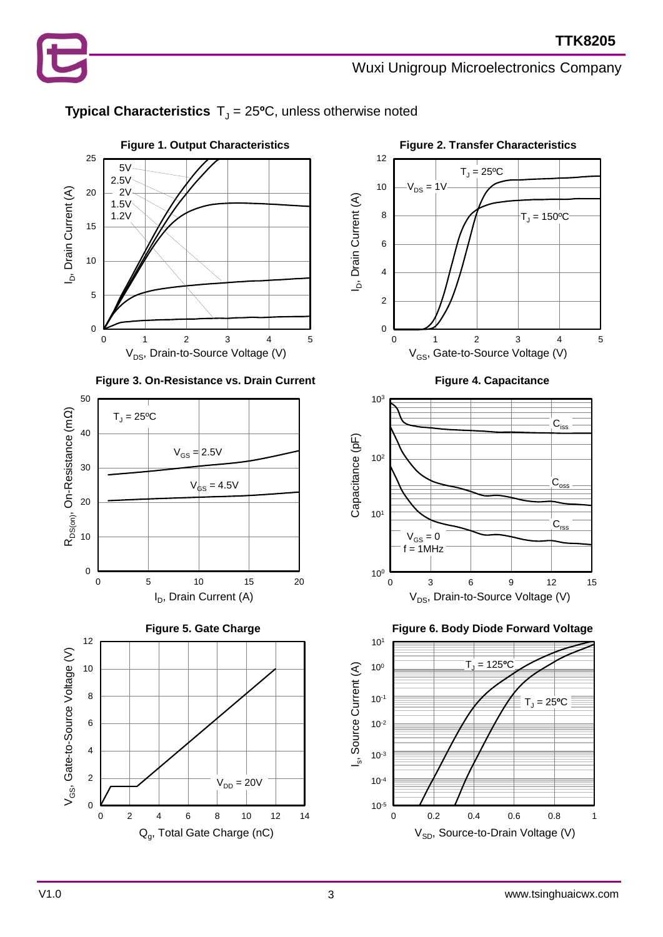## **Typical Characteristics**  $T_J = 25$ <sup>o</sup>C, unless otherwise noted













V1.0 values and the state of the state of the state of the state of the state of the state of the state of the state of the state of the state of the state of the state of the state of the state of the state of the state o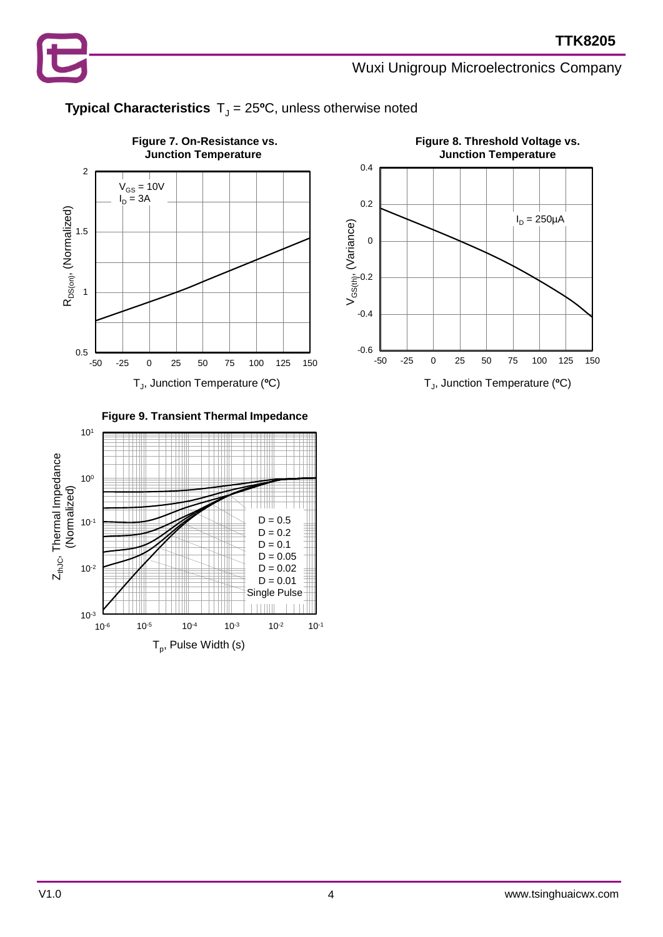

### **Typical Characteristics**  $T_J = 25$ <sup>o</sup>C, unless otherwise noted



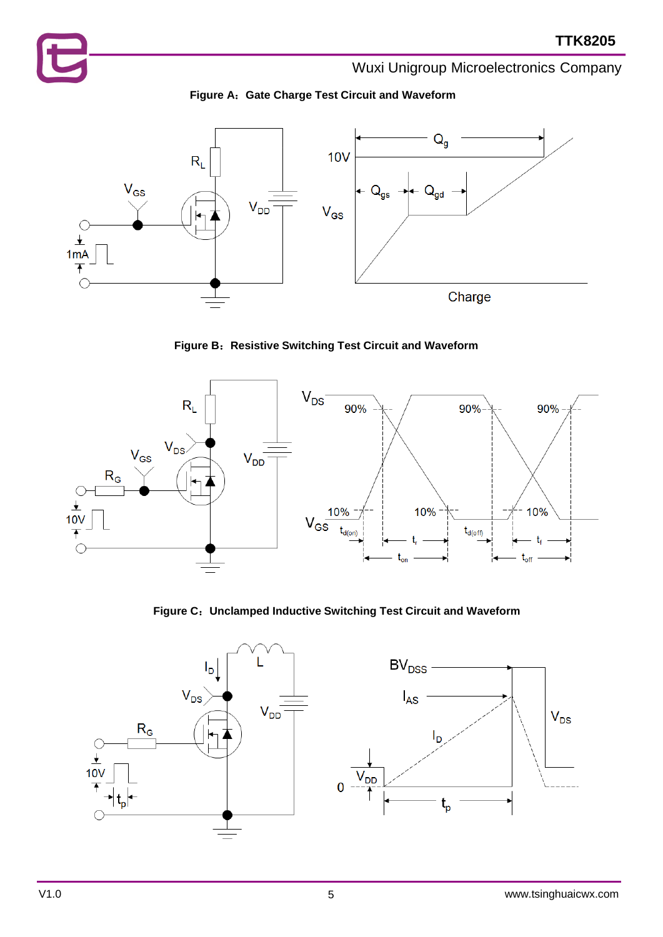



**Figure B**:**Resistive Switching Test Circuit and Waveform**



**Figure C**:**Unclamped Inductive Switching Test Circuit and Waveform**

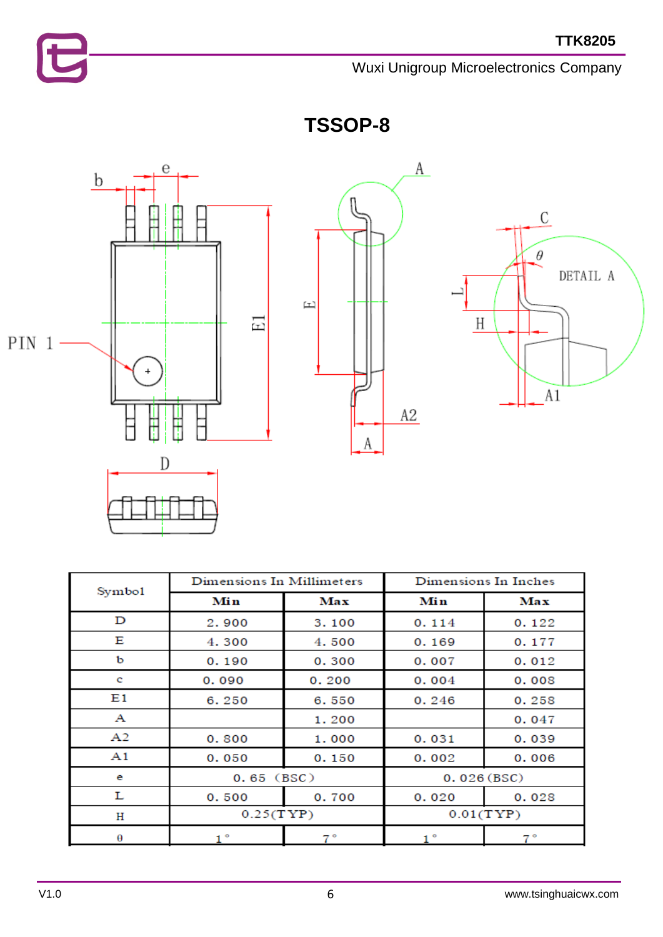



**TSSOP-8**



| Symbo1 | Dimensions In Millimeters |       | Dimensions In Inches |       |  |
|--------|---------------------------|-------|----------------------|-------|--|
|        | Min                       | Max   | Min                  | Max   |  |
| D      | 2.900                     | 3.100 | 0.114                | 0.122 |  |
| Е      | 4.300                     | 4.500 | 0.169                | 0.177 |  |
| ь      | 0.190                     | 0.300 | 0.007                | 0.012 |  |
| c      | 0.090                     | 0.200 | 0.004                | 0.008 |  |
| E1     | 6.250                     | 6.550 | 0.246                | 0.258 |  |
| А      |                           | 1.200 |                      | 0.047 |  |
| A2     | 0.800                     | 1.000 | 0.031                | 0.039 |  |
| A1     | 0.050                     | 0.150 | 0.002                | 0.006 |  |
| e      | $0.65$ (BSC)              |       | 0.026(BSC)           |       |  |
| L      | 0.500                     | 0.700 | 0.020                | 0.028 |  |
| Η      | 0.25(TYP)                 |       | 0.01(TYP)            |       |  |
| θ      | $1^{\circ}$               | 7.º   | 1 °                  | 7°    |  |